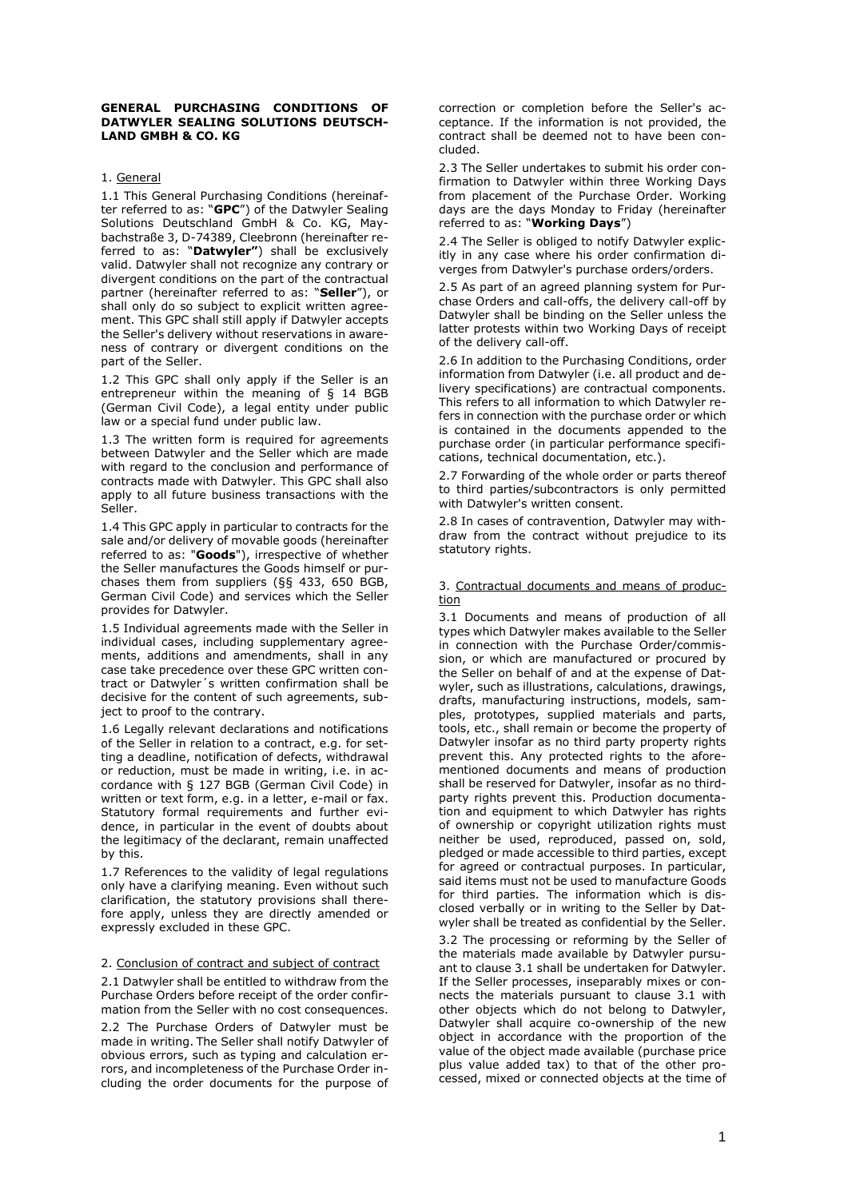### **GENERAL PURCHASING CONDITIONS OF DATWYLER SEALING SOLUTIONS DEUTSCH-LAND GMBH & CO. KG**

# 1. General

1.1 This General Purchasing Conditions (hereinafter referred to as: "**GPC**") of the Datwyler Sealing Solutions Deutschland GmbH & Co. KG, Maybachstraße 3, D-74389, Cleebronn (hereinafter referred to as: "**Datwyler"**) shall be exclusively valid. Datwyler shall not recognize any contrary or divergent conditions on the part of the contractual partner (hereinafter referred to as: "**Seller**"), or shall only do so subject to explicit written agreement. This GPC shall still apply if Datwyler accepts the Seller's delivery without reservations in awareness of contrary or divergent conditions on the part of the Seller.

1.2 This GPC shall only apply if the Seller is an entrepreneur within the meaning of § 14 BGB (German Civil Code), a legal entity under public law or a special fund under public law.

1.3 The written form is required for agreements between Datwyler and the Seller which are made with regard to the conclusion and performance of contracts made with Datwyler. This GPC shall also apply to all future business transactions with the Seller.

1.4 This GPC apply in particular to contracts for the sale and/or delivery of movable goods (hereinafter referred to as: "**Goods**"), irrespective of whether the Seller manufactures the Goods himself or purchases them from suppliers (§§ 433, 650 BGB, German Civil Code) and services which the Seller provides for Datwyler.

1.5 Individual agreements made with the Seller in individual cases, including supplementary agreements, additions and amendments, shall in any case take precedence over these GPC written contract or Datwyler´s written confirmation shall be decisive for the content of such agreements, subject to proof to the contrary.

1.6 Legally relevant declarations and notifications of the Seller in relation to a contract, e.g. for setting a deadline, notification of defects, withdrawal or reduction, must be made in writing, i.e. in accordance with § 127 BGB (German Civil Code) in written or text form, e.g. in a letter, e-mail or fax. Statutory formal requirements and further evidence, in particular in the event of doubts about the legitimacy of the declarant, remain unaffected by this.

1.7 References to the validity of legal regulations only have a clarifying meaning. Even without such clarification, the statutory provisions shall therefore apply, unless they are directly amended or expressly excluded in these GPC.

#### 2. Conclusion of contract and subject of contract

2.1 Datwyler shall be entitled to withdraw from the Purchase Orders before receipt of the order confirmation from the Seller with no cost consequences.

2.2 The Purchase Orders of Datwyler must be made in writing. The Seller shall notify Datwyler of obvious errors, such as typing and calculation errors, and incompleteness of the Purchase Order including the order documents for the purpose of

correction or completion before the Seller's acceptance. If the information is not provided, the contract shall be deemed not to have been concluded.

2.3 The Seller undertakes to submit his order confirmation to Datwyler within three Working Days from placement of the Purchase Order. Working days are the days Monday to Friday (hereinafter referred to as: "**Working Days**")

2.4 The Seller is obliged to notify Datwyler explicitly in any case where his order confirmation diverges from Datwyler's purchase orders/orders.

2.5 As part of an agreed planning system for Purchase Orders and call-offs, the delivery call-off by Datwyler shall be binding on the Seller unless the latter protests within two Working Days of receipt of the delivery call-off.

2.6 In addition to the Purchasing Conditions, order information from Datwyler (i.e. all product and delivery specifications) are contractual components. This refers to all information to which Datwyler refers in connection with the purchase order or which is contained in the documents appended to the purchase order (in particular performance specifications, technical documentation, etc.).

2.7 Forwarding of the whole order or parts thereof to third parties/subcontractors is only permitted with Datwyler's written consent.

2.8 In cases of contravention, Datwyler may withdraw from the contract without prejudice to its statutory rights.

### 3. Contractual documents and means of production

3.1 Documents and means of production of all types which Datwyler makes available to the Seller in connection with the Purchase Order/commission, or which are manufactured or procured by the Seller on behalf of and at the expense of Datwyler, such as illustrations, calculations, drawings, drafts, manufacturing instructions, models, samples, prototypes, supplied materials and parts, tools, etc., shall remain or become the property of Datwyler insofar as no third party property rights prevent this. Any protected rights to the aforementioned documents and means of production shall be reserved for Datwyler, insofar as no thirdparty rights prevent this. Production documentation and equipment to which Datwyler has rights of ownership or copyright utilization rights must neither be used, reproduced, passed on, sold, pledged or made accessible to third parties, except for agreed or contractual purposes. In particular, said items must not be used to manufacture Goods for third parties. The information which is disclosed verbally or in writing to the Seller by Datwyler shall be treated as confidential by the Seller.

3.2 The processing or reforming by the Seller of the materials made available by Datwyler pursuant to clause 3.1 shall be undertaken for Datwyler. If the Seller processes, inseparably mixes or connects the materials pursuant to clause 3.1 with other objects which do not belong to Datwyler, Datwyler shall acquire co-ownership of the new object in accordance with the proportion of the value of the object made available (purchase price plus value added tax) to that of the other processed, mixed or connected objects at the time of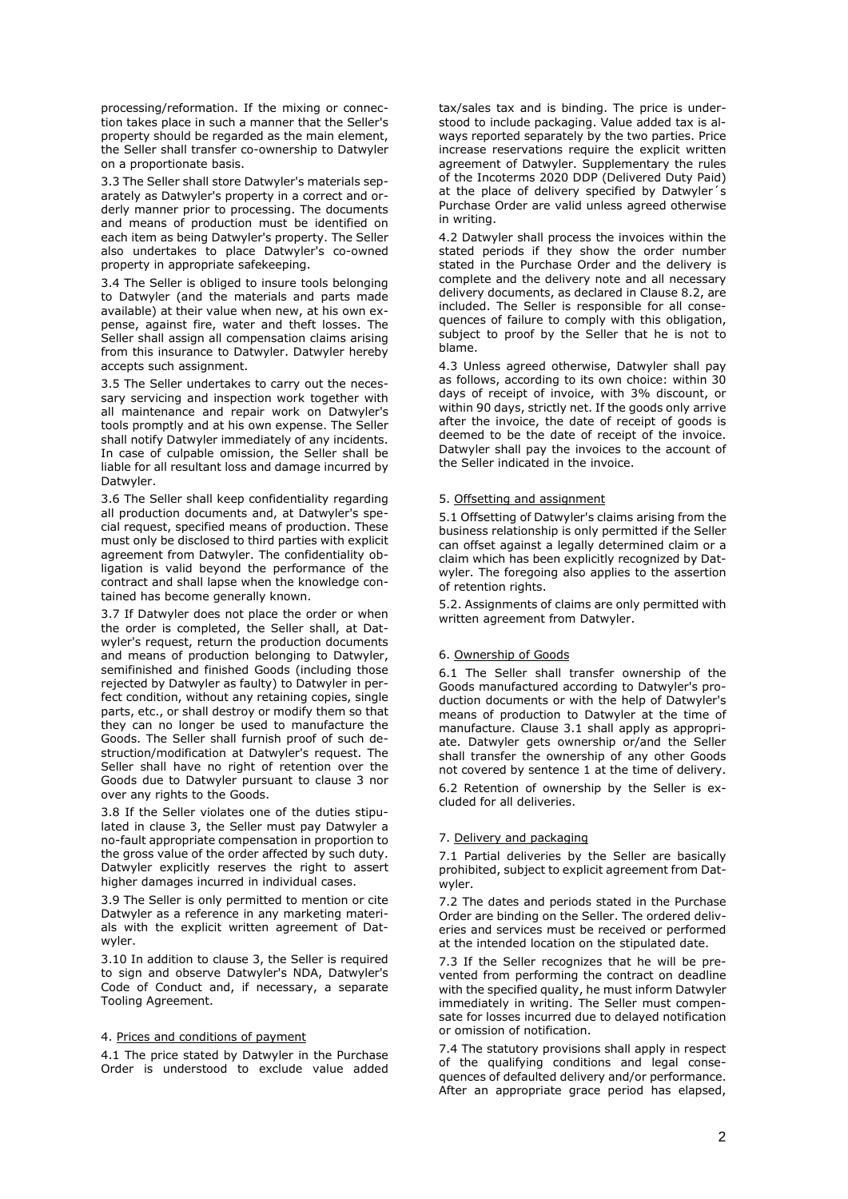processing/reformation. If the mixing or connection takes place in such a manner that the Seller's property should be regarded as the main element, the Seller shall transfer co-ownership to Datwyler on a proportionate basis.

3.3 The Seller shall store Datwyler's materials separately as Datwyler's property in a correct and orderly manner prior to processing. The documents and means of production must be identified on each item as being Datwyler's property. The Seller also undertakes to place Datwyler's co-owned property in appropriate safekeeping.

3.4 The Seller is obliged to insure tools belonging to Datwyler (and the materials and parts made available) at their value when new, at his own expense, against fire, water and theft losses. The Seller shall assign all compensation claims arising from this insurance to Datwyler. Datwyler hereby accepts such assignment.

3.5 The Seller undertakes to carry out the necessary servicing and inspection work together with all maintenance and repair work on Datwyler's tools promptly and at his own expense. The Seller shall notify Datwyler immediately of any incidents. In case of culpable omission, the Seller shall be liable for all resultant loss and damage incurred by Datwyler.

3.6 The Seller shall keep confidentiality regarding all production documents and, at Datwyler's special request, specified means of production. These must only be disclosed to third parties with explicit agreement from Datwyler. The confidentiality obligation is valid beyond the performance of the contract and shall lapse when the knowledge contained has become generally known.

3.7 If Datwyler does not place the order or when the order is completed, the Seller shall, at Datwyler's request, return the production documents and means of production belonging to Datwyler, semifinished and finished Goods (including those rejected by Datwyler as faulty) to Datwyler in perfect condition, without any retaining copies, single parts, etc., or shall destroy or modify them so that they can no longer be used to manufacture the Goods. The Seller shall furnish proof of such destruction/modification at Datwyler's request. The Seller shall have no right of retention over the Goods due to Datwyler pursuant to clause 3 nor over any rights to the Goods.

3.8 If the Seller violates one of the duties stipulated in clause 3, the Seller must pay Datwyler a no-fault appropriate compensation in proportion to the gross value of the order affected by such duty. Datwyler explicitly reserves the right to assert higher damages incurred in individual cases.

3.9 The Seller is only permitted to mention or cite Datwyler as a reference in any marketing materials with the explicit written agreement of Datwyler.

3.10 In addition to clause 3, the Seller is required to sign and observe Datwyler's NDA, Datwyler's Code of Conduct and, if necessary, a separate Tooling Agreement.

# 4. Prices and conditions of payment

4.1 The price stated by Datwyler in the Purchase Order is understood to exclude value added

tax/sales tax and is binding. The price is understood to include packaging. Value added tax is always reported separately by the two parties. Price increase reservations require the explicit written agreement of Datwyler. Supplementary the rules of the Incoterms 2020 DDP (Delivered Duty Paid) at the place of delivery specified by Datwyler´s Purchase Order are valid unless agreed otherwise in writing.

4.2 Datwyler shall process the invoices within the stated periods if they show the order number stated in the Purchase Order and the delivery is complete and the delivery note and all necessary delivery documents, as declared in Clause 8.2, are included. The Seller is responsible for all consequences of failure to comply with this obligation, subject to proof by the Seller that he is not to blame.

4.3 Unless agreed otherwise, Datwyler shall pay as follows, according to its own choice: within 30 days of receipt of invoice, with 3% discount, or within 90 days, strictly net. If the goods only arrive after the invoice, the date of receipt of goods is deemed to be the date of receipt of the invoice. Datwyler shall pay the invoices to the account of the Seller indicated in the invoice.

#### 5. Offsetting and assignment

5.1 Offsetting of Datwyler's claims arising from the business relationship is only permitted if the Seller can offset against a legally determined claim or a claim which has been explicitly recognized by Datwyler. The foregoing also applies to the assertion of retention rights.

5.2. Assignments of claims are only permitted with written agreement from Datwyler.

### 6. Ownership of Goods

6.1 The Seller shall transfer ownership of the Goods manufactured according to Datwyler's production documents or with the help of Datwyler's means of production to Datwyler at the time of manufacture. Clause 3.1 shall apply as appropriate. Datwyler gets ownership or/and the Seller shall transfer the ownership of any other Goods not covered by sentence 1 at the time of delivery.

6.2 Retention of ownership by the Seller is excluded for all deliveries.

#### 7. Delivery and packaging

7.1 Partial deliveries by the Seller are basically prohibited, subject to explicit agreement from Datwyler.

7.2 The dates and periods stated in the Purchase Order are binding on the Seller. The ordered deliveries and services must be received or performed at the intended location on the stipulated date.

7.3 If the Seller recognizes that he will be prevented from performing the contract on deadline with the specified quality, he must inform Datwyler immediately in writing. The Seller must compensate for losses incurred due to delayed notification or omission of notification.

7.4 The statutory provisions shall apply in respect of the qualifying conditions and legal consequences of defaulted delivery and/or performance. After an appropriate grace period has elapsed,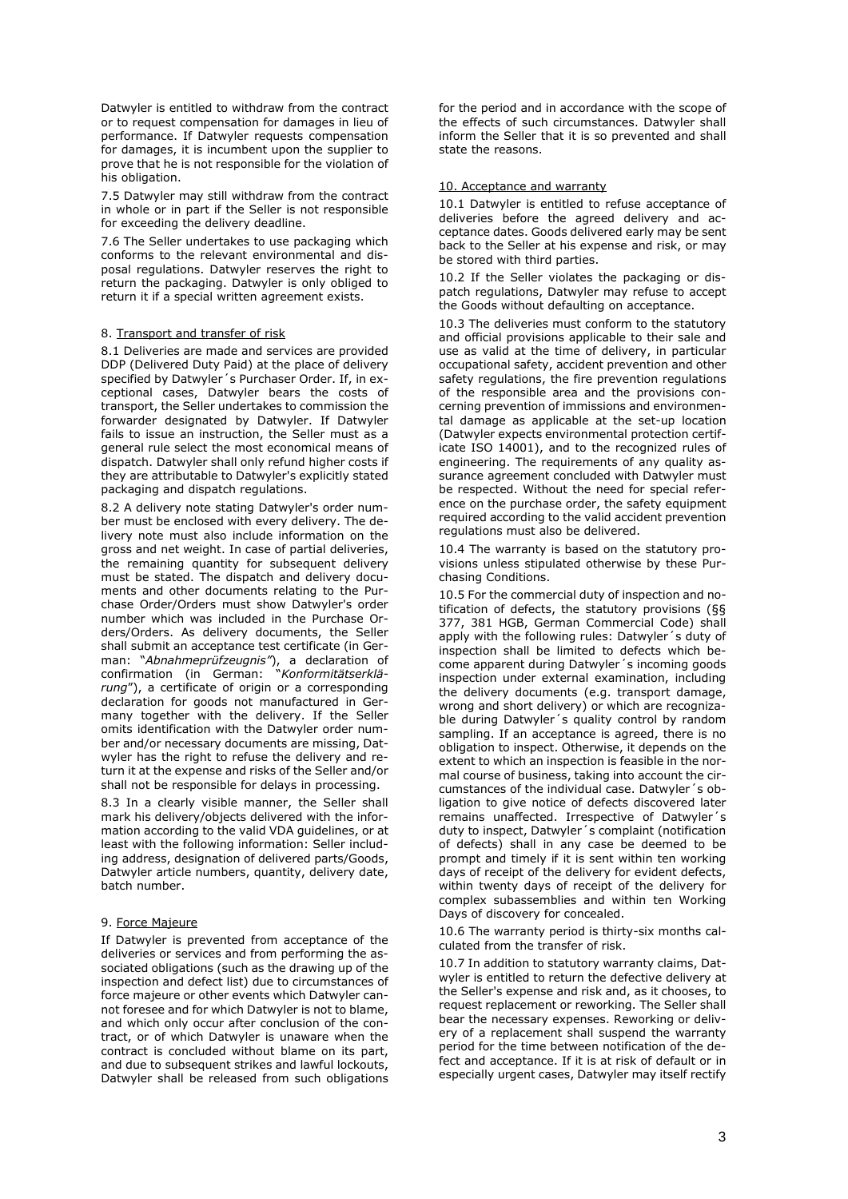Datwyler is entitled to withdraw from the contract or to request compensation for damages in lieu of performance. If Datwyler requests compensation for damages, it is incumbent upon the supplier to prove that he is not responsible for the violation of his obligation.

7.5 Datwyler may still withdraw from the contract in whole or in part if the Seller is not responsible for exceeding the delivery deadline.

7.6 The Seller undertakes to use packaging which conforms to the relevant environmental and disposal regulations. Datwyler reserves the right to return the packaging. Datwyler is only obliged to return it if a special written agreement exists.

## 8. Transport and transfer of risk

8.1 Deliveries are made and services are provided DDP (Delivered Duty Paid) at the place of delivery specified by Datwyler´s Purchaser Order. If, in exceptional cases, Datwyler bears the costs of transport, the Seller undertakes to commission the forwarder designated by Datwyler. If Datwyler fails to issue an instruction, the Seller must as a general rule select the most economical means of dispatch. Datwyler shall only refund higher costs if they are attributable to Datwyler's explicitly stated packaging and dispatch regulations.

8.2 A delivery note stating Datwyler's order number must be enclosed with every delivery. The delivery note must also include information on the gross and net weight. In case of partial deliveries, the remaining quantity for subsequent delivery must be stated. The dispatch and delivery documents and other documents relating to the Purchase Order/Orders must show Datwyler's order number which was included in the Purchase Orders/Orders. As delivery documents, the Seller shall submit an acceptance test certificate (in German: "*Abnahmeprüfzeugnis"*), a declaration of confirmation (in German: "*Konformitätserklärung*"), a certificate of origin or a corresponding declaration for goods not manufactured in Germany together with the delivery. If the Seller omits identification with the Datwyler order number and/or necessary documents are missing, Datwyler has the right to refuse the delivery and return it at the expense and risks of the Seller and/or shall not be responsible for delays in processing.

8.3 In a clearly visible manner, the Seller shall mark his delivery/objects delivered with the information according to the valid VDA guidelines, or at least with the following information: Seller including address, designation of delivered parts/Goods, Datwyler article numbers, quantity, delivery date, batch number.

#### 9. Force Majeure

If Datwyler is prevented from acceptance of the deliveries or services and from performing the associated obligations (such as the drawing up of the inspection and defect list) due to circumstances of force majeure or other events which Datwyler cannot foresee and for which Datwyler is not to blame, and which only occur after conclusion of the contract, or of which Datwyler is unaware when the contract is concluded without blame on its part, and due to subsequent strikes and lawful lockouts, Datwyler shall be released from such obligations

for the period and in accordance with the scope of the effects of such circumstances. Datwyler shall inform the Seller that it is so prevented and shall state the reasons.

### 10. Acceptance and warranty

10.1 Datwyler is entitled to refuse acceptance of deliveries before the agreed delivery and acceptance dates. Goods delivered early may be sent back to the Seller at his expense and risk, or may be stored with third parties.

10.2 If the Seller violates the packaging or dispatch regulations, Datwyler may refuse to accept the Goods without defaulting on acceptance.

10.3 The deliveries must conform to the statutory and official provisions applicable to their sale and use as valid at the time of delivery, in particular occupational safety, accident prevention and other safety regulations, the fire prevention regulations of the responsible area and the provisions concerning prevention of immissions and environmental damage as applicable at the set-up location (Datwyler expects environmental protection certificate ISO 14001), and to the recognized rules of engineering. The requirements of any quality assurance agreement concluded with Datwyler must be respected. Without the need for special reference on the purchase order, the safety equipment required according to the valid accident prevention regulations must also be delivered.

10.4 The warranty is based on the statutory provisions unless stipulated otherwise by these Purchasing Conditions.

10.5 For the commercial duty of inspection and notification of defects, the statutory provisions (§§ 377, 381 HGB, German Commercial Code) shall apply with the following rules: Datwyler´s duty of inspection shall be limited to defects which become apparent during Datwyler´s incoming goods inspection under external examination, including the delivery documents (e.g. transport damage, wrong and short delivery) or which are recognizable during Datwyler´s quality control by random sampling. If an acceptance is agreed, there is no obligation to inspect. Otherwise, it depends on the extent to which an inspection is feasible in the normal course of business, taking into account the circumstances of the individual case. Datwyler´s obligation to give notice of defects discovered later remains unaffected. Irrespective of Datwyler´s duty to inspect, Datwyler´s complaint (notification of defects) shall in any case be deemed to be prompt and timely if it is sent within ten working days of receipt of the delivery for evident defects, within twenty days of receipt of the delivery for complex subassemblies and within ten Working Days of discovery for concealed.

10.6 The warranty period is thirty-six months calculated from the transfer of risk.

10.7 In addition to statutory warranty claims, Datwyler is entitled to return the defective delivery at the Seller's expense and risk and, as it chooses, to request replacement or reworking. The Seller shall bear the necessary expenses. Reworking or delivery of a replacement shall suspend the warranty period for the time between notification of the defect and acceptance. If it is at risk of default or in especially urgent cases, Datwyler may itself rectify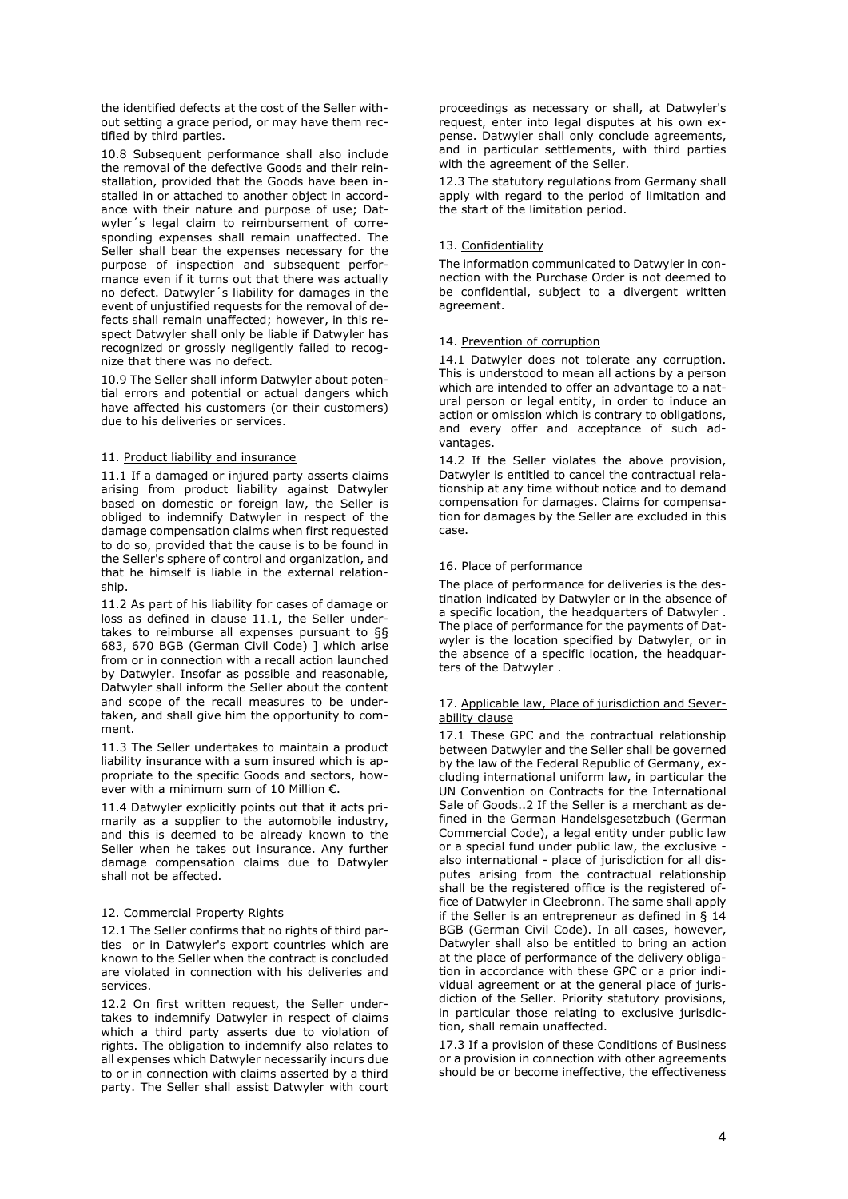the identified defects at the cost of the Seller without setting a grace period, or may have them rectified by third parties.

10.8 Subsequent performance shall also include the removal of the defective Goods and their reinstallation, provided that the Goods have been installed in or attached to another object in accordance with their nature and purpose of use; Datwyler´s legal claim to reimbursement of corresponding expenses shall remain unaffected. The Seller shall bear the expenses necessary for the purpose of inspection and subsequent performance even if it turns out that there was actually no defect. Datwyler´s liability for damages in the event of unjustified requests for the removal of defects shall remain unaffected; however, in this respect Datwyler shall only be liable if Datwyler has recognized or grossly negligently failed to recognize that there was no defect.

10.9 The Seller shall inform Datwyler about potential errors and potential or actual dangers which have affected his customers (or their customers) due to his deliveries or services.

# 11. Product liability and insurance

11.1 If a damaged or injured party asserts claims arising from product liability against Datwyler based on domestic or foreign law, the Seller is obliged to indemnify Datwyler in respect of the damage compensation claims when first requested to do so, provided that the cause is to be found in the Seller's sphere of control and organization, and that he himself is liable in the external relationship.

11.2 As part of his liability for cases of damage or loss as defined in clause 11.1, the Seller undertakes to reimburse all expenses pursuant to §§ 683, 670 BGB (German Civil Code) ] which arise from or in connection with a recall action launched by Datwyler. Insofar as possible and reasonable, Datwyler shall inform the Seller about the content and scope of the recall measures to be undertaken, and shall give him the opportunity to comment.

11.3 The Seller undertakes to maintain a product liability insurance with a sum insured which is appropriate to the specific Goods and sectors, however with a minimum sum of 10 Million €.

11.4 Datwyler explicitly points out that it acts primarily as a supplier to the automobile industry, and this is deemed to be already known to the Seller when he takes out insurance. Any further damage compensation claims due to Datwyler shall not be affected.

# 12. Commercial Property Rights

12.1 The Seller confirms that no rights of third parties or in Datwyler's export countries which are known to the Seller when the contract is concluded are violated in connection with his deliveries and services.

12.2 On first written request, the Seller undertakes to indemnify Datwyler in respect of claims which a third party asserts due to violation of rights. The obligation to indemnify also relates to all expenses which Datwyler necessarily incurs due to or in connection with claims asserted by a third party. The Seller shall assist Datwyler with court

proceedings as necessary or shall, at Datwyler's request, enter into legal disputes at his own expense. Datwyler shall only conclude agreements, and in particular settlements, with third parties with the agreement of the Seller.

12.3 The statutory regulations from Germany shall apply with regard to the period of limitation and the start of the limitation period.

## 13. Confidentiality

The information communicated to Datwyler in connection with the Purchase Order is not deemed to be confidential, subject to a divergent written agreement.

## 14. Prevention of corruption

14.1 Datwyler does not tolerate any corruption. This is understood to mean all actions by a person which are intended to offer an advantage to a natural person or legal entity, in order to induce an action or omission which is contrary to obligations, and every offer and acceptance of such advantages.

14.2 If the Seller violates the above provision, Datwyler is entitled to cancel the contractual relationship at any time without notice and to demand compensation for damages. Claims for compensation for damages by the Seller are excluded in this case.

# 16. Place of performance

The place of performance for deliveries is the destination indicated by Datwyler or in the absence of a specific location, the headquarters of Datwyler . The place of performance for the payments of Datwyler is the location specified by Datwyler, or in the absence of a specific location, the headquarters of the Datwyler .

## 17. Applicable law, Place of jurisdiction and Severability clause

17.1 These GPC and the contractual relationship between Datwyler and the Seller shall be governed by the law of the Federal Republic of Germany, excluding international uniform law, in particular the UN Convention on Contracts for the International Sale of Goods..2 If the Seller is a merchant as defined in the German Handelsgesetzbuch (German Commercial Code), a legal entity under public law or a special fund under public law, the exclusive also international - place of jurisdiction for all disputes arising from the contractual relationship shall be the registered office is the registered office of Datwyler in Cleebronn. The same shall apply if the Seller is an entrepreneur as defined in § 14 BGB (German Civil Code). In all cases, however, Datwyler shall also be entitled to bring an action at the place of performance of the delivery obligation in accordance with these GPC or a prior individual agreement or at the general place of jurisdiction of the Seller. Priority statutory provisions, in particular those relating to exclusive jurisdiction, shall remain unaffected.

17.3 If a provision of these Conditions of Business or a provision in connection with other agreements should be or become ineffective, the effectiveness